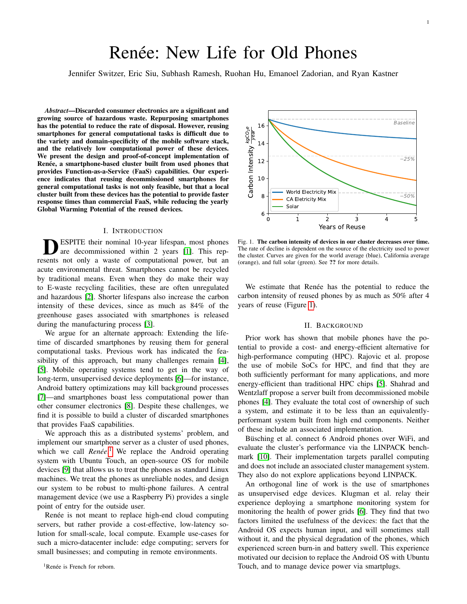# Renée: New Life for Old Phones

Jennifer Switzer, Eric Siu, Subhash Ramesh, Ruohan Hu, Emanoel Zadorian, and Ryan Kastner

*Abstract*—Discarded consumer electronics are a significant and growing source of hazardous waste. Repurposing smartphones has the potential to reduce the rate of disposal. However, reusing smartphones for general computational tasks is difficult due to the variety and domain-specificity of the mobile software stack, and the relatively low computational power of these devices. We present the design and proof-of-concept implementation of Renée, a smartphone-based cluster built from used phones that provides Function-as-a-Service (FaaS) capabilities. Our experience indicates that reusing decommissioned smartphones for general computational tasks is not only feasible, but that a local cluster built from these devices has the potential to provide faster response times than commercial FaaS, while reducing the yearly Global Warming Potential of the reused devices.

## I. INTRODUCTION

**DESPITE** their nominal 10-year lifespan, most phones are decommissioned within 2 years [1]. This represents not only a waste of computational power, but an ESPITE their nominal 10-year lifespan, most phones are decommissioned within 2 years [\[1\]](#page-3-0). This repacute environmental threat. Smartphones cannot be recycled by traditional means. Even when they do make their way to E-waste recycling facilities, these are often unregulated and hazardous [\[2\]](#page-3-1). Shorter lifespans also increase the carbon intensity of these devices, since as much as 84% of the greenhouse gases associated with smartphones is released during the manufacturing process [\[3\]](#page-3-2).

We argue for an alternate approach: Extending the lifetime of discarded smartphones by reusing them for general computational tasks. Previous work has indicated the feasibility of this approach, but many challenges remain [\[4\]](#page-3-3), [\[5\]](#page-3-4). Mobile operating systems tend to get in the way of long-term, unsupervised device deployments [\[6\]](#page-3-5)—for instance, Android battery optimizations may kill background processes [\[7\]](#page-3-6)—and smartphones boast less computational power than other consumer electronics [\[8\]](#page-3-7). Despite these challenges, we find it is possible to build a cluster of discarded smartphones that provides FaaS capabilities.

We approach this as a distributed systems' problem, and implement our smartphone server as a cluster of used phones, which we call *Renée*.<sup>[1](#page-0-0)</sup> We replace the Android operating system with Ubuntu Touch, an open-source OS for mobile devices [\[9\]](#page-3-8) that allows us to treat the phones as standard Linux machines. We treat the phones as unreliable nodes, and design our system to be robust to multi-phone failures. A central management device (we use a Raspberry Pi) provides a single point of entry for the outside user.

<span id="page-0-0"></span>Renée is not meant to replace high-end cloud computing servers, but rather provide a cost-effective, low-latency solution for small-scale, local compute. Example use-cases for such a micro-datacenter include: edge computing; servers for small businesses; and computing in remote environments.



<span id="page-0-1"></span>Fig. 1. The carbon intensity of devices in our cluster decreases over time. The rate of decline is dependent on the source of the electricity used to power the cluster. Curves are given for the world average (blue), California average (orange), and full solar (green). See ?? for more details.

We estimate that Renée has the potential to reduce the carbon intensity of reused phones by as much as 50% after 4 years of reuse (Figure [1\)](#page-0-1).

## II. BACKGROUND

Prior work has shown that mobile phones have the potential to provide a cost- and energy-efficient alternative for high-performance computing (HPC). Rajovic et al. propose the use of mobile SoCs for HPC, and find that they are both sufficiently performant for many applications, and more energy-efficient than traditional HPC chips [\[5\]](#page-3-4). Shahrad and Wentzlaff propose a server built from decommissioned mobile phones [\[4\]](#page-3-3). They evaluate the total cost of ownership of such a system, and estimate it to be less than an equivalentlyperformant system built from high end components. Neither of these include an associated implementation.

Büsching et al. connect 6 Android phones over WiFi, and evaluate the cluster's performance via the LINPACK benchmark [\[10\]](#page-3-9). Their implementation targets parallel computing and does not include an associated cluster management system. They also do not explore applications beyond LINPACK.

An orthogonal line of work is the use of smartphones as unsupervised edge devices. Klugman et al. relay their experience deploying a smartphone monitoring system for monitoring the health of power grids [\[6\]](#page-3-5). They find that two factors limited the usefulness of the devices: the fact that the Android OS expects human input, and will sometimes stall without it, and the physical degradation of the phones, which experienced screen burn-in and battery swell. This experience motivated our decision to replace the Android OS with Ubuntu Touch, and to manage device power via smartplugs.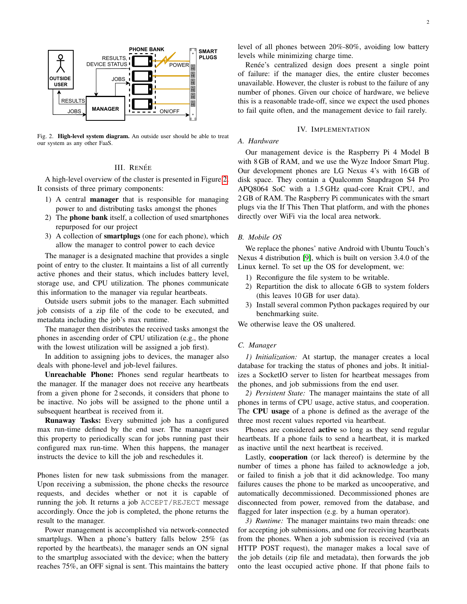

<span id="page-1-0"></span>Fig. 2. High-level system diagram. An outside user should be able to treat our system as any other FaaS.

# III. RENEE´

A high-level overview of the cluster is presented in Figure [2.](#page-1-0) It consists of three primary components:

- 1) A central manager that is responsible for managing power to and distributing tasks amongst the phones
- 2) The phone bank itself, a collection of used smartphones repurposed for our project
- 3) A collection of smartplugs (one for each phone), which allow the manager to control power to each device

The manager is a designated machine that provides a single point of entry to the cluster. It maintains a list of all currently active phones and their status, which includes battery level, storage use, and CPU utilization. The phones communicate this information to the manager via regular heartbeats.

Outside users submit jobs to the manager. Each submitted job consists of a zip file of the code to be executed, and metadata including the job's max runtime.

The manager then distributes the received tasks amongst the phones in ascending order of CPU utilization (e.g., the phone with the lowest utilization will be assigned a job first).

In addition to assigning jobs to devices, the manager also deals with phone-level and job-level failures.

Unreachable Phone: Phones send regular heartbeats to the manager. If the manager does not receive any heartbeats from a given phone for 2 seconds, it considers that phone to be inactive. No jobs will be assigned to the phone until a subsequent heartbeat is received from it.

Runaway Tasks: Every submitted job has a configured max run-time defined by the end user. The manager uses this property to periodically scan for jobs running past their configured max run-time. When this happens, the manager instructs the device to kill the job and reschedules it.

Phones listen for new task submissions from the manager. Upon receiving a submission, the phone checks the resource requests, and decides whether or not it is capable of running the job. It returns a job ACCEPT/REJECT message accordingly. Once the job is completed, the phone returns the result to the manager.

Power management is accomplished via network-connected smartplugs. When a phone's battery falls below 25% (as reported by the heartbeats), the manager sends an ON signal to the smartplug associated with the device; when the battery reaches 75%, an OFF signal is sent. This maintains the battery

level of all phones between 20%-80%, avoiding low battery levels while minimizing charge time.

Renée's centralized design does present a single point of failure: if the manager dies, the entire cluster becomes unavailable. However, the cluster is robust to the failure of any number of phones. Given our choice of hardware, we believe this is a reasonable trade-off, since we expect the used phones to fail quite often, and the management device to fail rarely.

# IV. IMPLEMENTATION

### *A. Hardware*

Our management device is the Raspberry Pi 4 Model B with 8 GB of RAM, and we use the Wyze Indoor Smart Plug. Our development phones are LG Nexus 4's with 16 GB of disk space. They contain a Qualcomm Snapdragon S4 Pro APQ8064 SoC with a 1.5 GHz quad-core Krait CPU, and 2 GB of RAM. The Raspberry Pi communicates with the smart plugs via the If This Then That platform, and with the phones directly over WiFi via the local area network.

## *B. Mobile OS*

We replace the phones' native Android with Ubuntu Touch's Nexus 4 distribution [\[9\]](#page-3-8), which is built on version 3.4.0 of the Linux kernel. To set up the OS for development, we:

- 1) Reconfigure the file system to be writable.
- 2) Repartition the disk to allocate 6 GB to system folders (this leaves 10 GB for user data).
- 3) Install several common Python packages required by our benchmarking suite.

We otherwise leave the OS unaltered.

### *C. Manager*

*1) Initialization:* At startup, the manager creates a local database for tracking the status of phones and jobs. It initializes a SocketIO server to listen for heartbeat messages from the phones, and job submissions from the end user.

*2) Persistent State:* The manager maintains the state of all phones in terms of CPU usage, active status, and cooperation. The CPU usage of a phone is defined as the average of the three most recent values reported via heartbeat.

Phones are considered active so long as they send regular heartbeats. If a phone fails to send a heartbeat, it is marked as inactive until the next heartbeat is received.

Lastly, cooperation (or lack thereof) is determine by the number of times a phone has failed to acknowledge a job, or failed to finish a job that it did acknowledge. Too many failures causes the phone to be marked as uncooperative, and automatically decommissioned. Decommissioned phones are disconnected from power, removed from the database, and flagged for later inspection (e.g. by a human operator).

*3) Runtime:* The manager maintains two main threads: one for accepting job submissions, and one for receiving heartbeats from the phones. When a job submission is received (via an HTTP POST request), the manager makes a local save of the job details (zip file and metadata), then forwards the job onto the least occupied active phone. If that phone fails to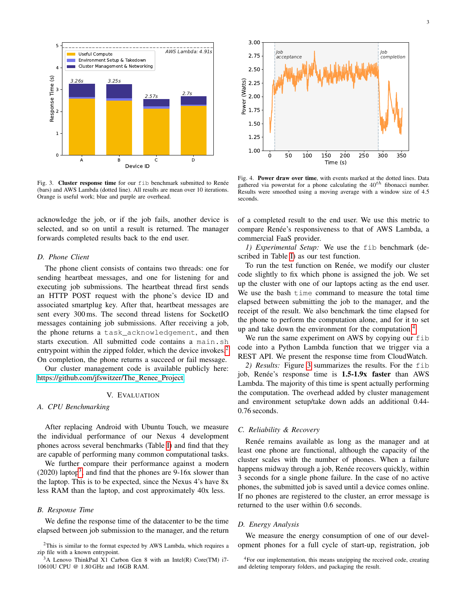

<span id="page-2-3"></span>Fig. 3. Cluster response time for our fib benchmark submitted to Renée (bars) and AWS Lambda (dotted line). All results are mean over 10 iterations. Orange is useful work; blue and purple are overhead.

acknowledge the job, or if the job fails, another device is selected, and so on until a result is returned. The manager forwards completed results back to the end user.

#### *D. Phone Client*

The phone client consists of contains two threads: one for sending heartbeat messages, and one for listening for and executing job submissions. The heartbeat thread first sends an HTTP POST request with the phone's device ID and associated smartplug key. After that, heartbeat messages are sent every 300 ms. The second thread listens for SocketIO messages containing job submissions. After receiving a job, the phone returns a task\_acknowledgement, and then starts execution. All submitted code contains a main.sh entrypoint within the zipped folder, which the device invokes.<sup>[2](#page-2-0)</sup> On completion, the phone returns a succeed or fail message.

Our cluster management code is available publicly here: [https://github.com/jfswitzer/The](https://github.com/jfswitzer/The_Renee_Project)\_Renee\_Project.

## V. EVALUATION

## *A. CPU Benchmarking*

After replacing Android with Ubuntu Touch, we measure the individual performance of our Nexus 4 development phones across several benchmarks (Table [I\)](#page-3-10) and find that they are capable of performing many common computational tasks.

We further compare their performance against a modern  $(2020)$  laptop<sup>[3](#page-2-1)</sup>, and find that the phones are 9-16x slower than the laptop. This is to be expected, since the Nexus 4's have 8x less RAM than the laptop, and cost approximately 40x less.

#### *B. Response Time*

We define the response time of the datacenter to be the time elapsed between job submission to the manager, and the return



<span id="page-2-4"></span>Fig. 4. Power draw over time, with events marked at the dotted lines. Data gathered via powerstat for a phone calculating the  $40^{th}$  fibonacci number. Results were smoothed using a moving average with a window size of 4.5 seconds.

of a completed result to the end user. We use this metric to compare Renée's responsiveness to that of AWS Lambda, a commercial FaaS provider.

*1) Experimental Setup:* We use the fib benchmark (described in Table [I\)](#page-3-10) as our test function.

To run the test function on Renée, we modify our cluster code slightly to fix which phone is assigned the job. We set up the cluster with one of our laptops acting as the end user. We use the bash time command to measure the total time elapsed between submitting the job to the manager, and the receipt of the result. We also benchmark the time elapsed for the phone to perform the computation alone, and for it to set up and take down the environment for the computation.[4](#page-2-2)

We run the same experiment on AWS by copying our fib code into a Python Lambda function that we trigger via a REST API. We present the response time from CloudWatch.

*2) Results:* Figure [3](#page-2-3) summarizes the results. For the fib job, Renée's response time is  $1.5-1.9x$  faster than AWS Lambda. The majority of this time is spent actually performing the computation. The overhead added by cluster management and environment setup/take down adds an additional 0.44- 0.76 seconds.

# *C. Reliability & Recovery*

Renée remains available as long as the manager and at least one phone are functional, although the capacity of the cluster scales with the number of phones. When a failure happens midway through a job, Renée recovers quickly, within 3 seconds for a single phone failure. In the case of no active phones, the submitted job is saved until a device comes online. If no phones are registered to the cluster, an error message is returned to the user within 0.6 seconds.

### *D. Energy Analysis*

We measure the energy consumption of one of our development phones for a full cycle of start-up, registration, job

<span id="page-2-0"></span> $2$ This is similar to the format expected by AWS Lambda, which requires a zip file with a known entrypoint.

<span id="page-2-1"></span><sup>&</sup>lt;sup>3</sup>A Lenovo ThinkPad X1 Carbon Gen 8 with an Intel(R) Core(TM) i7-10610U CPU @ 1.80 GHz and 16GB RAM.

<span id="page-2-2"></span><sup>&</sup>lt;sup>4</sup>For our implementation, this means unzipping the received code, creating and deleting temporary folders, and packaging the result.